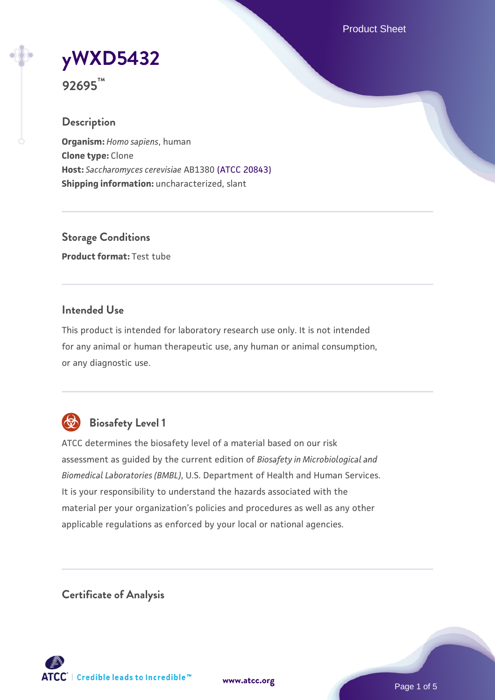Product Sheet

**[yWXD5432](https://www.atcc.org/products/92695)**

**92695™**

### **Description**

**Organism:** *Homo sapiens*, human **Clone type:** Clone **Host:** *Saccharomyces cerevisiae* AB1380 [\(ATCC 20843\)](https://www.atcc.org/products/20843) **Shipping information:** uncharacterized, slant

**Storage Conditions Product format:** Test tube

### **Intended Use**

This product is intended for laboratory research use only. It is not intended for any animal or human therapeutic use, any human or animal consumption, or any diagnostic use.



# **Biosafety Level 1**

ATCC determines the biosafety level of a material based on our risk assessment as guided by the current edition of *Biosafety in Microbiological and Biomedical Laboratories (BMBL)*, U.S. Department of Health and Human Services. It is your responsibility to understand the hazards associated with the material per your organization's policies and procedures as well as any other applicable regulations as enforced by your local or national agencies.

**Certificate of Analysis**

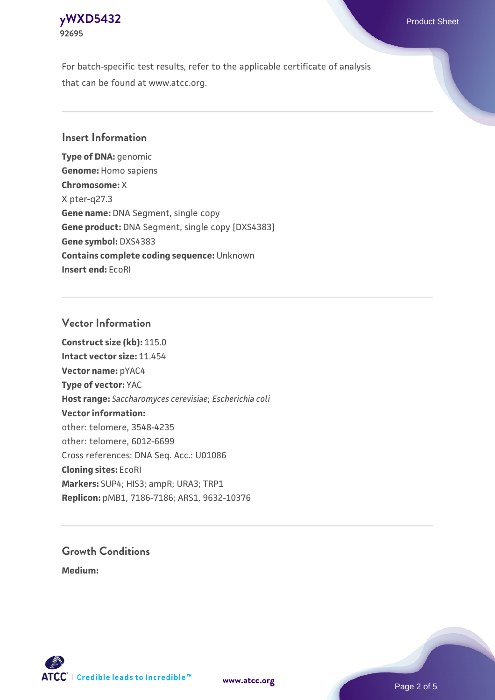#### **[yWXD5432](https://www.atcc.org/products/92695)** Product Sheet **92695**

For batch-specific test results, refer to the applicable certificate of analysis that can be found at www.atcc.org.

### **Insert Information**

**Type of DNA:** genomic **Genome:** Homo sapiens **Chromosome:** X X pter-q27.3 **Gene name:** DNA Segment, single copy **Gene product:** DNA Segment, single copy [DXS4383] **Gene symbol:** DXS4383 **Contains complete coding sequence:** Unknown **Insert end:** EcoRI

#### **Vector Information**

**Construct size (kb):** 115.0 **Intact vector size:** 11.454 **Vector name:** pYAC4 **Type of vector:** YAC **Host range:** *Saccharomyces cerevisiae*; *Escherichia coli* **Vector information:** other: telomere, 3548-4235 other: telomere, 6012-6699 Cross references: DNA Seq. Acc.: U01086 **Cloning sites:** EcoRI **Markers:** SUP4; HIS3; ampR; URA3; TRP1 **Replicon:** pMB1, 7186-7186; ARS1, 9632-10376

# **Growth Conditions**

**Medium:** 



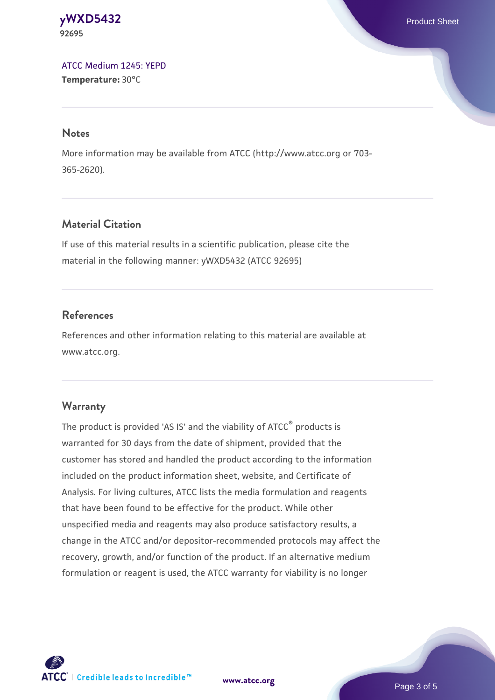#### **[yWXD5432](https://www.atcc.org/products/92695)** Product Sheet **92695**

[ATCC Medium 1245: YEPD](https://www.atcc.org/-/media/product-assets/documents/microbial-media-formulations/1/2/4/5/atcc-medium-1245.pdf?rev=705ca55d1b6f490a808a965d5c072196) **Temperature:** 30°C

#### **Notes**

More information may be available from ATCC (http://www.atcc.org or 703- 365-2620).

# **Material Citation**

If use of this material results in a scientific publication, please cite the material in the following manner: yWXD5432 (ATCC 92695)

# **References**

References and other information relating to this material are available at www.atcc.org.

# **Warranty**

The product is provided 'AS IS' and the viability of ATCC® products is warranted for 30 days from the date of shipment, provided that the customer has stored and handled the product according to the information included on the product information sheet, website, and Certificate of Analysis. For living cultures, ATCC lists the media formulation and reagents that have been found to be effective for the product. While other unspecified media and reagents may also produce satisfactory results, a change in the ATCC and/or depositor-recommended protocols may affect the recovery, growth, and/or function of the product. If an alternative medium formulation or reagent is used, the ATCC warranty for viability is no longer

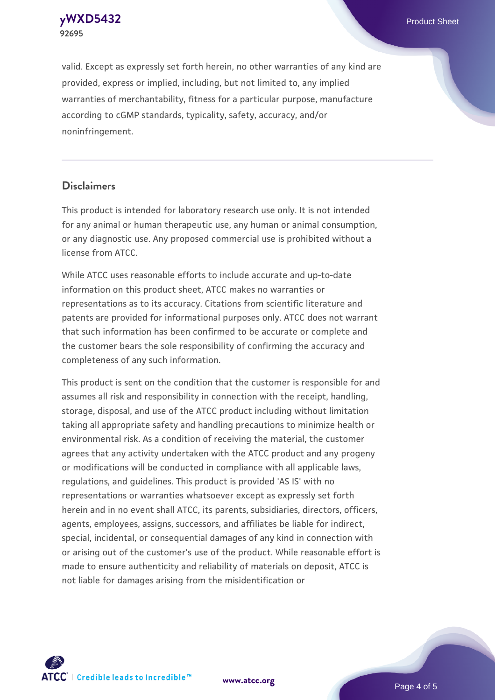**[yWXD5432](https://www.atcc.org/products/92695)** Product Sheet **92695**

valid. Except as expressly set forth herein, no other warranties of any kind are provided, express or implied, including, but not limited to, any implied warranties of merchantability, fitness for a particular purpose, manufacture according to cGMP standards, typicality, safety, accuracy, and/or noninfringement.

#### **Disclaimers**

This product is intended for laboratory research use only. It is not intended for any animal or human therapeutic use, any human or animal consumption, or any diagnostic use. Any proposed commercial use is prohibited without a license from ATCC.

While ATCC uses reasonable efforts to include accurate and up-to-date information on this product sheet, ATCC makes no warranties or representations as to its accuracy. Citations from scientific literature and patents are provided for informational purposes only. ATCC does not warrant that such information has been confirmed to be accurate or complete and the customer bears the sole responsibility of confirming the accuracy and completeness of any such information.

This product is sent on the condition that the customer is responsible for and assumes all risk and responsibility in connection with the receipt, handling, storage, disposal, and use of the ATCC product including without limitation taking all appropriate safety and handling precautions to minimize health or environmental risk. As a condition of receiving the material, the customer agrees that any activity undertaken with the ATCC product and any progeny or modifications will be conducted in compliance with all applicable laws, regulations, and guidelines. This product is provided 'AS IS' with no representations or warranties whatsoever except as expressly set forth herein and in no event shall ATCC, its parents, subsidiaries, directors, officers, agents, employees, assigns, successors, and affiliates be liable for indirect, special, incidental, or consequential damages of any kind in connection with or arising out of the customer's use of the product. While reasonable effort is made to ensure authenticity and reliability of materials on deposit, ATCC is not liable for damages arising from the misidentification or



**[www.atcc.org](http://www.atcc.org)**

Page 4 of 5